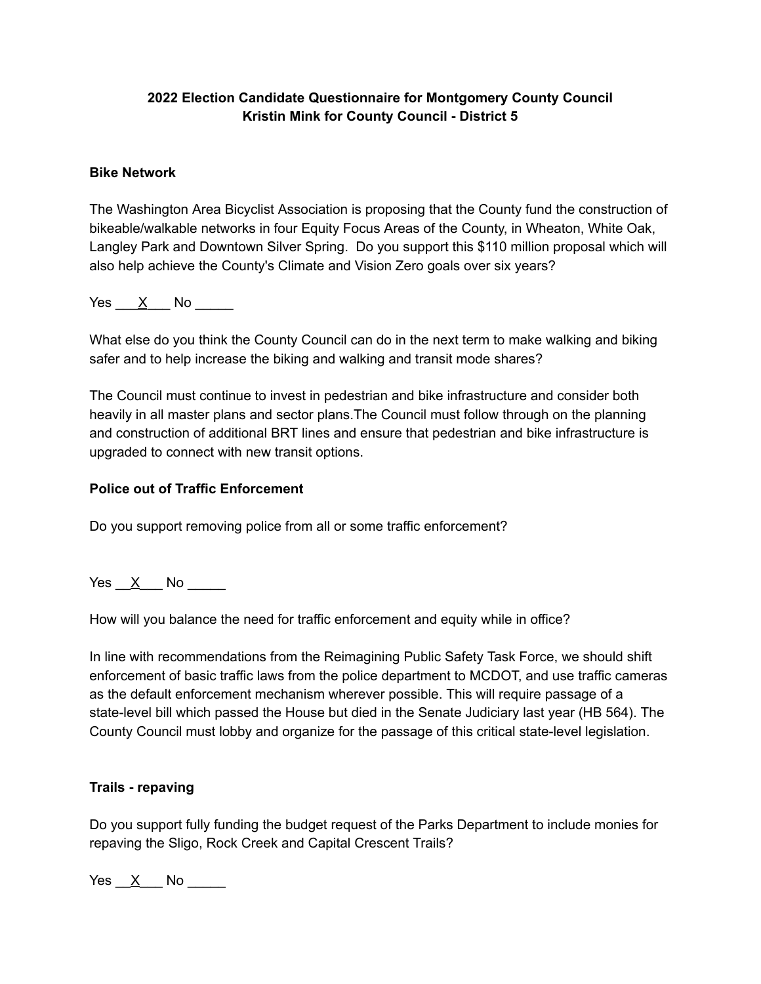# **2022 Election Candidate Questionnaire for Montgomery County Council Kristin Mink for County Council - District 5**

### **Bike Network**

 The Washington Area Bicyclist Association is proposing that the County fund the construction of bikeable/walkable networks in four Equity Focus Areas of the County, in Wheaton, White Oak, Langley Park and Downtown Silver Spring. Do you support this \$110 million proposal which will also help achieve the County's Climate and Vision Zero goals over six years?

Yes  $\underline{X}$  No  $\overline{X}$ 

 What else do you think the County Council can do in the next term to make walking and biking safer and to help increase the biking and walking and transit mode shares?

 The Council must continue to invest in pedestrian and bike infrastructure and consider both heavily in all master plans and sector plans.The Council must follow through on the planning and construction of additional BRT lines and ensure that pedestrian and bike infrastructure is upgraded to connect with new transit options.

## **Police out of Traffic Enforcement**

Do you support removing police from all or some traffic enforcement?

Yes  $X$  No  $\_\_\_\_\$ 

How will you balance the need for traffic enforcement and equity while in office?

 In line with recommendations from the Reimagining Public Safety Task Force, we should shift enforcement of basic traffic laws from the police department to MCDOT, and use traffic cameras as the default enforcement mechanism wherever possible. This will require passage of a state-level bill which passed the House but died in the Senate Judiciary last year (HB 564). The County Council must lobby and organize for the passage of this critical state-level legislation.

#### **Trails - repaving**

 Do you support fully funding the budget request of the Parks Department to include monies for repaving the Sligo, Rock Creek and Capital Crescent Trails?

Yes  $X$  No  $\_\_\_\_\$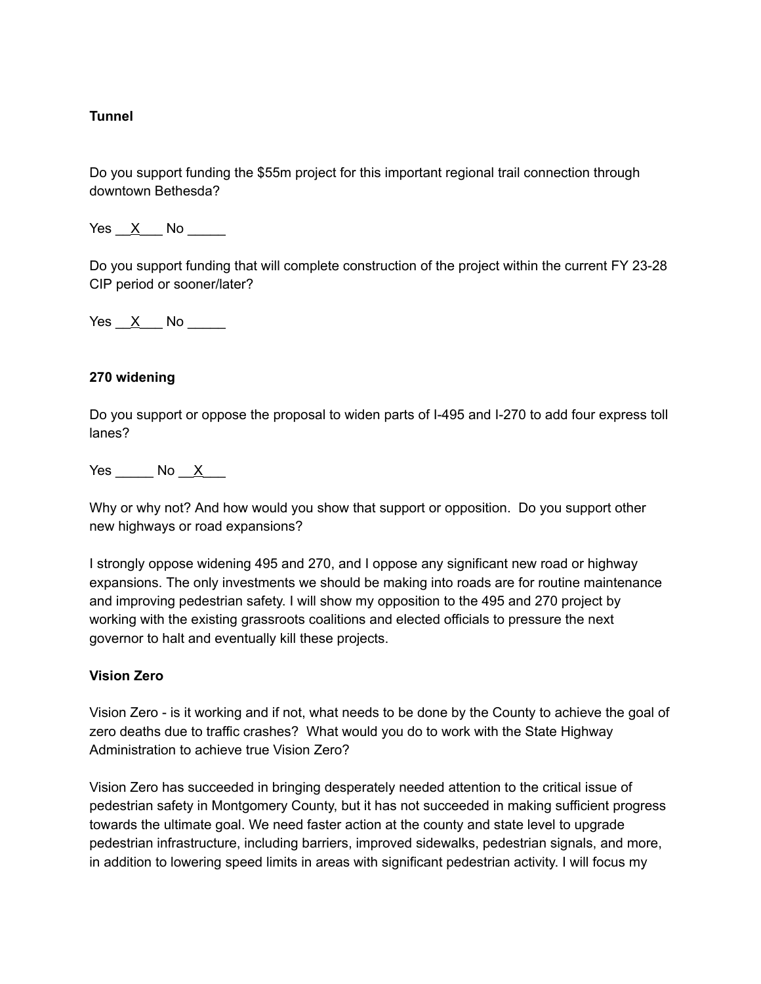## **Tunnel**

 Do you support funding the \$55m project for this important regional trail connection through downtown Bethesda?

Yes  $\underline{X}$  No

 Do you support funding that will complete construction of the project within the current FY 23-28 CIP period or sooner/later?

Yes  $\underline{X}$  No

#### **270 widening**

 Do you support or oppose the proposal to widen parts of I-495 and I-270 to add four express toll lanes?

Yes  $\hbox{\sf No} \quad \underline{\mathsf{X}}$ 

 Why or why not? And how would you show that support or opposition. Do you support other new highways or road expansions?

 I strongly oppose widening 495 and 270, and I oppose any significant new road or highway expansions. The only investments we should be making into roads are for routine maintenance and improving pedestrian safety. I will show my opposition to the 495 and 270 project by working with the existing grassroots coalitions and elected officials to pressure the next governor to halt and eventually kill these projects.

#### **Vision Zero**

 Vision Zero - is it working and if not, what needs to be done by the County to achieve the goal of zero deaths due to traffic crashes? What would you do to work with the State Highway Administration to achieve true Vision Zero?

 Vision Zero has succeeded in bringing desperately needed attention to the critical issue of pedestrian safety in Montgomery County, but it has not succeeded in making sufficient progress towards the ultimate goal. We need faster action at the county and state level to upgrade pedestrian infrastructure, including barriers, improved sidewalks, pedestrian signals, and more, in addition to lowering speed limits in areas with significant pedestrian activity. I will focus my